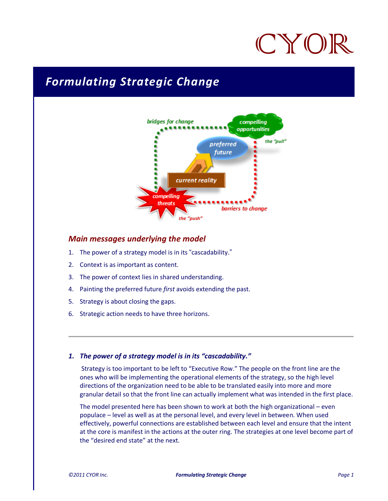# CYOF

## *Formulating Strategic Change*



#### *Main messages underlying the model*

- 1. The power of a strategy model is in its "cascadability."
- 2. Context is as important as content.
- 3. The power of context lies in shared understanding.
- 4. Painting the preferred future *first* avoids extending the past.
- 5. Strategy is about closing the gaps.
- 6. Strategic action needs to have three horizons.

#### *1. The power of a strategy model is in its "cascadability."*

Strategy is too important to be left to "Executive Row." The people on the front line are the ones who will be implementing the operational elements of the strategy, so the high level directions of the organization need to be able to be translated easily into more and more granular detail so that the front line can actually implement what was intended in the first place.

The model presented here has been shown to work at both the high organizational – even populace – level as well as at the personal level, and every level in between. When used effectively, powerful connections are established between each level and ensure that the intent at the core is manifest in the actions at the outer ring. The strategies at one level become part of the "desired end state" at the next.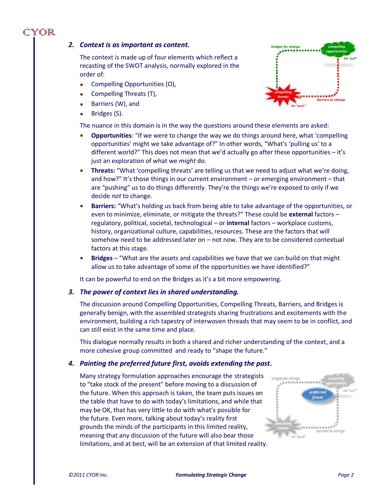### CYOR

#### *2. Context is as important as content.*

The context is made up of four elements which reflect a recasting of the SWOT analysis, normally explored in the order of:

- Compelling Opportunities (O),
- Compelling Threats (T),
- Barriers (W), and
- Bridges (S).

The nuance in this domain is in the way the questions around these elements are asked:

- **Opportunities**: "If we were to change the way we do things around here, what 'compelling opportunities' might we take advantage of?" In other words, "What's 'pulling us' to a different world?" This does not mean that we'd actually go after these opportunities – it's just an exploration of what we *might* do.
- **Threats:** "What 'compelling threats' are telling us that we need to adjust what we're doing, and how?" It's those things in our current environment – or emerging environment – that are "pushing" us to do things differently. They're the things we're exposed to only if we decide *not* to change.
- **Barriers:** "What's holding us back from being able to take advantage of the opportunities, or even to minimize, eliminate, or mitigate the threats?" These could be **external** factors – regulatory, political, societal, technological – or **internal** factors – workplace customs, history, organizational culture, capabilities, resources. These are the factors that will somehow need to be addressed later on – not now. They are to be considered contextual factors at this stage.
- **Bridges** "What are the assets and capabilities we have that we can build on that might allow us to take advantage of some of the opportunities we have identified?"

It can be powerful to end on the Bridges as it's a bit more empowering.

#### *3. The power of context lies in shared understanding.*

The discussion around Compelling Opportunities, Compelling Threats, Barriers, and Bridges is generally benign, with the assembled strategists sharing frustrations and excitements with the environment, building a rich tapestry of interwoven threads that may seem to be in conflict, and can still exist in the same time and place.

This dialogue normally results in both a shared and richer understanding of the context, and a more cohesive group committed and ready to "shape the future."

#### *4. Painting the preferred future first, avoids extending the past.*

Many strategy formulation approaches encourage the strategists to "take stock of the present" before moving to a discussion of the future. When this approach is taken, the team puts issues on the table that have to do with today's limitations, and while that may be OK, that has very little to do with what's possible for the future. Even more, talking about today's reality first grounds the minds of the participants in this limited reality, meaning that any discussion of the future will also bear those limitations, and at best, will be an extension of that limited reality.



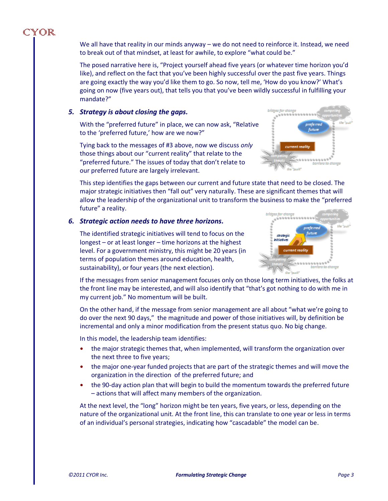We all have that reality in our minds anyway – we do not need to reinforce it. Instead, we need to break out of that mindset, at least for awhile, to explore "what could be."

The posed narrative here is, "Project yourself ahead five years (or whatever time horizon you'd like), and reflect on the fact that you've been highly successful over the past five years. Things are going exactly the way you'd like them to go. So now, tell me, 'How do you know?' What's going on now (five years out), that tells you that you've been wildly successful in fulfilling your mandate?"

#### *5. Strategy is about closing the gaps.*

CYOR

With the "preferred future" in place, we can now ask, "Relative to the 'preferred future,' how are we now?"

Tying back to the messages of #3 above, now we discuss *only* those things about our "current reality" that relate to the "preferred future." The issues of today that don't relate to our preferred future are largely irrelevant.



This step identifies the gaps between our current and future state that need to be closed. The major strategic initiatives then "fall out" very naturally. These are significant themes that will allow the leadership of the organizational unit to transform the business to make the "preferred future" a reality.

#### *6. Strategic action needs to have three horizons.*

The identified strategic initiatives will tend to focus on the longest – or at least longer – time horizons at the highest level. For a government ministry, this might be 20 years (in terms of population themes around education, health, sustainability), or four years (the next election).



If the messages from senior management focuses only on those long term initiatives, the folks at the front line may be interested, and will also identify that "that's got nothing to do with me in my current job." No momentum will be built.

On the other hand, if the message from senior management are all about "what we're going to do over the next 90 days," the magnitude and power of those initiatives will, by definition be incremental and only a minor modification from the present status quo. No big change.

In this model, the leadership team identifies:

- the major strategic themes that, when implemented, will transform the organization over the next three to five years;
- the major one-year funded projects that are part of the strategic themes and will move the organization in the direction of the preferred future; and
- the 90-day action plan that will begin to build the momentum towards the preferred future – actions that will affect many members of the organization.

At the next level, the "long" horizon might be ten years, five years, or less, depending on the nature of the organizational unit. At the front line, this can translate to one year or less in terms of an individual's personal strategies, indicating how "cascadable" the model can be.